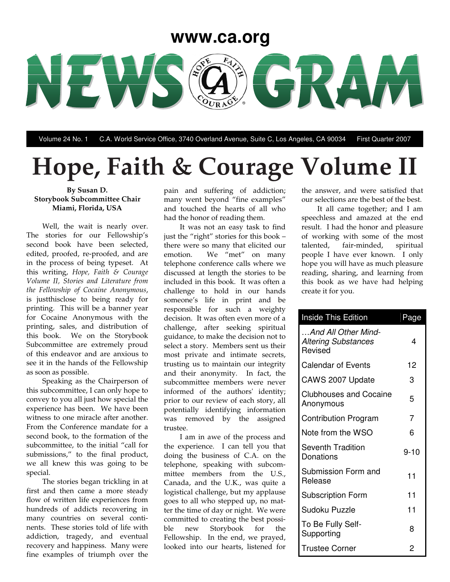## **www.ca.org**



Volume 24 No. 1 C.A. World Service Office, 3740 Overland Avenue, Suite C, Los Angeles, CA 90034 First Quarter 2007

# **Hope, Faith & Courage Volume II**

#### **By Susan D. Storybook Subcommittee Chair Miami, Florida, USA**

Well, the wait is nearly over. The stories for our Fellowship's second book have been selected, edited, proofed, re-proofed, and are in the process of being typeset. At this writing, *Hope, Faith & Courage Volume II, Stories and Literature from the Fellowship of Cocaine Anonymous*, is justthisclose to being ready for printing. This will be a banner year for Cocaine Anonymous with the printing, sales, and distribution of this book. We on the Storybook Subcommittee are extremely proud of this endeavor and are anxious to see it in the hands of the Fellowship as soon as possible.

Speaking as the Chairperson of this subcommittee, I can only hope to convey to you all just how special the experience has been. We have been witness to one miracle after another. From the Conference mandate for a second book, to the formation of the subcommittee, to the initial "call for submissions," to the final product, we all knew this was going to be special.

The stories began trickling in at first and then came a more steady flow of written life experiences from hundreds of addicts recovering in many countries on several continents. These stories told of life with addiction, tragedy, and eventual recovery and happiness. Many were fine examples of triumph over the

pain and suffering of addiction; many went beyond "fine examples" and touched the hearts of all who had the honor of reading them.

It was not an easy task to find just the "right" stories for this book – there were so many that elicited our emotion. We "met" on many telephone conference calls where we discussed at length the stories to be included in this book. It was often a challenge to hold in our hands someone's life in print and be responsible for such a weighty decision. It was often even more of a challenge, after seeking spiritual guidance, to make the decision not to select a story. Members sent us their most private and intimate secrets, trusting us to maintain our integrity and their anonymity. In fact, the subcommittee members were never informed of the authors' identity; prior to our review of each story, all potentially identifying information was removed by the assigned trustee.

I am in awe of the process and the experience. I can tell you that doing the business of C.A. on the telephone, speaking with subcommittee members from the U.S., Canada, and the U.K., was quite a logistical challenge, but my applause goes to all who stepped up, no matter the time of day or night. We were committed to creating the best possible new Storybook for the Fellowship. In the end, we prayed, looked into our hearts, listened for

the answer, and were satisfied that our selections are the best of the best.

It all came together; and I am speechless and amazed at the end result. I had the honor and pleasure of working with some of the most talented, fair-minded, spiritual people I have ever known. I only hope you will have as much pleasure reading, sharing, and learning from this book as we have had helping create it for you.

| <b>Inside This Edition</b>                                   | Page |
|--------------------------------------------------------------|------|
| And All Other Mind-<br><b>Altering Substances</b><br>Revised | 4    |
| <b>Calendar of Events</b>                                    | 12   |
| CAWS 2007 Update                                             | 3    |
| <b>Clubhouses and Cocaine</b><br>Anonymous                   | 5    |
| <b>Contribution Program</b>                                  | 7    |
| Note from the WSO                                            | 6    |
| Seventh Tradition<br>Donations                               | 9-10 |
| Submission Form and<br>Release                               | 11   |
| <b>Subscription Form</b>                                     | 11   |
| Sudoku Puzzle                                                | 11   |
| To Be Fully Self-<br>Supporting                              | 8    |
| <b>Trustee Corner</b>                                        | 2    |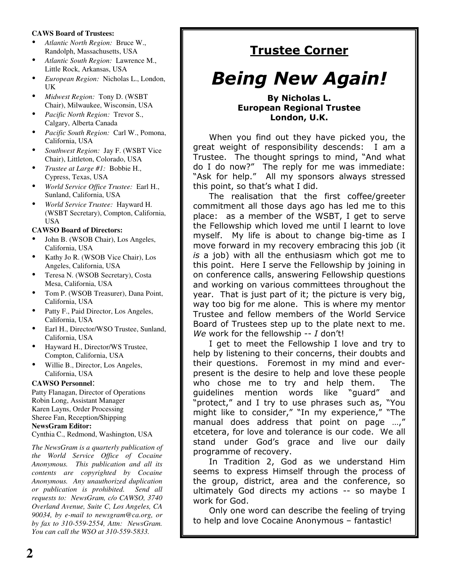### **CAWS Board of Trustees:**

- *Atlantic North Region:* Bruce W., Randolph, Massachusetts, USA
- *Atlantic South Region:* Lawrence M., Little Rock, Arkansas, USA
- *European Region:* Nicholas L., London, UK
- *Midwest Region:* Tony D. (WSBT Chair), Milwaukee, Wisconsin, USA
- *Pacific North Region:* Trevor S., Calgary, Alberta Canada
- *Pacific South Region:* Carl W., Pomona, California, USA
- *Southwest Region:* Jay F. (WSBT Vice Chair), Littleton, Colorado, USA
- *Trustee at Large #1:* Bobbie H., Cypress, Texas, USA
- *World Service Office Trustee:* Earl H., Sunland, California, USA
- *World Service Trustee:* Hayward H. (WSBT Secretary), Compton, California, USA

### **CAWSO Board of Directors:**

- John B. (WSOB Chair), Los Angeles, California, USA
- Kathy Jo R. (WSOB Vice Chair), Los Angeles, California, USA
- Teresa N. (WSOB Secretary), Costa Mesa, California, USA
- Tom P. (WSOB Treasurer), Dana Point, California, USA
- Patty F., Paid Director, Los Angeles, California, USA
- Earl H., Director/WSO Trustee, Sunland, California, USA
- Hayward H., Director/WS Trustee, Compton, California, USA
- Willie B., Director, Los Angeles, California, USA

### **CAWSO Personnel**:

Patty Flanagan, Director of Operations Robin Long, Assistant Manager Karen Layns, Order Processing Sheree Fan, Reception/Shipping **NewsGram Editor:**

Cynthia C., Redmond, Washington, USA

*The NewsGram is a quarterly publication of the World Service Office of Cocaine Anonymous. This publication and all its contents are copyrighted by Cocaine Anonymous. Any unauthorized duplication or publication is prohibited. Send all requests to: NewsGram, c/o CAWSO, 3740 Overland Avenue, Suite C, Los Angeles, CA 90034, by e-mail to newsgram@ca.org, or by fax to 310-559-2554, Attn: NewsGram. You can call the WSO at 310-559-5833.*

## <u>Trustee Corner</u>

# **Being New Again!**

### **By Nicholas L. European Regional Trustee** London, U.K.

When you find out they have picked you, the great weight of responsibility descends: I am a Trustee. The thought springs to mind, "And what do I do now?" The reply for me was immediate: "Ask for help." All my sponsors always stressed this point, so that's what I did.

The realisation that the first coffee/greeter commitment all those days ago has led me to this place: as a member of the WSBT, I get to serve the Fellowship which loved me until I learnt to love myself. My life is about to change big-time as I move forward in my recovery embracing this job (it is a job) with all the enthusiasm which got me to this point. Here I serve the Fellowship by joining in on conference calls, answering Fellowship questions and working on various committees throughout the year. That is just part of it; the picture is very big, way too big for me alone. This is where my mentor Trustee and fellow members of the World Service Board of Trustees step up to the plate next to me. We work for the fellowship  $-I$  don't!

I get to meet the Fellowship I love and try to help by listening to their concerns, their doubts and their questions. Foremost in my mind and everpresent is the desire to help and love these people who chose me to try and help them. The guidelines mention words lik like "quard" and "protect," and I try to use phrases such as, "You" might like to consider," "In my experience," "The manual does address that point on page ...," etcetera, for love and tolerance is our code. We all stand under God's grace and live our daily programme of recovery.

In Tradition 2, God as we understand Him seems to express Himself through the process of the group, district, area and the conference, so ultimately God directs my actions -- so maybe I work for God.

Only one word can describe the feeling of trying to help and love Cocaine Anonymous - fantastic!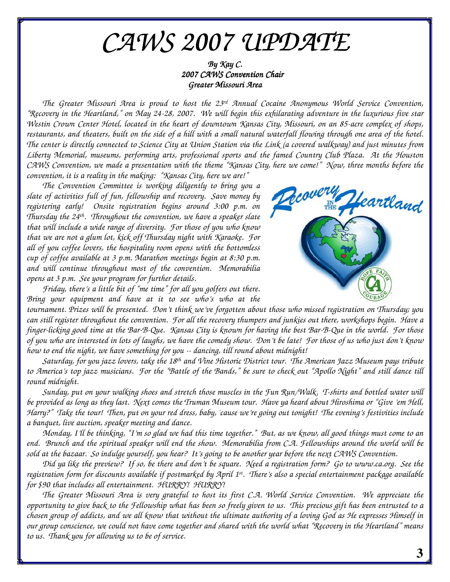# *CAWS 2007 UPDATE*

*By Kay C. 2007 CAWS Convention Chair Greater Missouri Area*

*The Greater Missouri Area is proud to host the 23 rd Annual Cocaine Anonymous World Service Convention,* "Recovery in the Heartland," on May 24-28, 2007. We will begin this exhilarating adventure in the luxurious five star Westin Crown Center Hotel, located in the heart of downtown Kansas City, Missouri, on an 85-acre complex of shops, restaurants, and theaters, built on the side of a hill with a small natural waterfall flowing through one area of the hotel. The center is directly connected to Science City at Union Station via the Link (a covered walkway) and just minutes from *Liberty Memorial, museums, performing arts, professional sports and the famed Country Club Plaza. At the Houston* CAWS Convention, we made a presentation with the theme "Kansas City, here we come!" Now, three months before the *convention, it is a reality in the making: "Kansas City, here we are!"*

*The Convention Committee is working diligently to bring you a slate of activities full of fun, fellowship and recovery. Save money by registering early! Onsite registration begins around 3:00 p.m. on Thursday the 24 th . Throughout the convention, we have a speaker slate that will include a wide range of diversity. For those of you who know that we are not a glum lot, kick off Thursday night with Karaoke. For all of you coffee lovers, the hospitality room opens with the bottomless cup of coffee available at 3 p.m. Marathon meetings begin at 8:30 p.m. and will continue throughout most of the convention. Memorabilia opens at 3 p.m. See your program for further details.*

*Friday, there's a little bit of "me time" for all you golfers out there. Bring your equipment and have at it to see who's who at the*



tournament. Prizes will be presented. Don't think we've forgotten about those who missed registration on Thursday; you can still register throughout the convention. For all the recovery thumpers and junkies out there, workshops begin. Have a finger-licking good time at the Bar-B-Que. Kansas City is known for having the best Bar-B-Que in the world. For those of you who are interested in lots of laughs, we have the comedy show. Don't be late! For those of us who just don't know *how to end the night, we have something for you -- dancing, till round about midnight!*

Saturday, for you jazz lovers, take the 18<sup>th</sup> and Vine Historic District tour. The American Jazz Museum pays tribute to America's top jazz musicians. For the "Battle of the Bands," be sure to check out "Apollo Night" and still dance till *round midnight.*

Sunday, put on your walking shoes and stretch those muscles in the Fun Run/Walk. T-shirts and bottled water will be provided as long as they last. Next comes the Truman Museum tour. Have ya heard about Hiroshima or "Give 'em Hell, Harry?" Take the tour! Then, put on your red dress, baby, 'cause we're going out tonight! The evening's festivities include *a banquet, live auction, speaker meeting and dance.*

Monday, I'll be thinking, "I'm so glad we had this time together." But, as we know, all good things must come to an end. Brunch and the spiritual speaker will end the show. Memorabilia from C.A. Fellowships around the world will be sold at the bazaar. So indulge yourself, you hear? It's going to be another year before the next CAWS Convention.

Did ya like the preview? If so, be there and don't be square. Need a registration form? Go to www.ca.org. See the registration form for discounts available if postmarked by April 1st. There's also a special entertainment package available *for \$90 that includes all entertainment. HURRY! HURRY!*

The Greater Missouri Area is very grateful to host its first C.A. World Service Convention. We appreciate the opportunity to give back to the Fellowship what has been so freely given to us. This precious gift has been entrusted to a chosen group of addicts, and we all know that without the ultimate authority of a loving God as He expresses Himself in our group conscience, we could not have come together and shared with the world what "Recovery in the Heartland" means *to us. Thank you for allowing us to be of service.*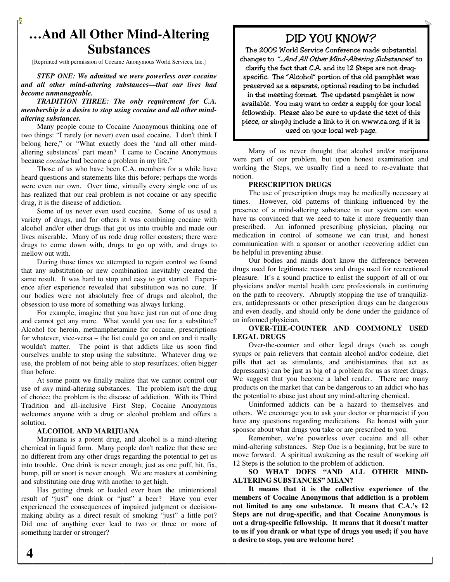## **…And All Other Mind-Altering Substances**

[Reprinted with permission of Cocaine Anonymous World Services, Inc.]

*STEP ONE: We admitted we were powerless over cocaine and all other mind-altering substances—that our lives had become unmanageable.*

*TRADITION THREE: The only requirement for C.A. membership is a desire to stop using cocaine and all other mindaltering substances.*

Many people come to Cocaine Anonymous thinking one of two things: "I rarely (or never) even used cocaine. I don't think I belong here," or "What exactly does the 'and all other mindaltering substances' part mean? I came to Cocaine Anonymous because *cocaine* had become a problem in my life."

Those of us who have been C.A. members for a while have heard questions and statements like this before; perhaps the words were even our own. Over time, virtually every single one of us has realized that our real problem is not cocaine or any specific drug, it is the disease of addiction.

Some of us never even used cocaine. Some of us used a variety of drugs, and for others it was combining cocaine with alcohol and/or other drugs that got us into trouble and made our lives miserable. Many of us rode drug roller coasters; there were drugs to come down with, drugs to go up with, and drugs to mellow out with.

During those times we attempted to regain control we found that any substitution or new combination inevitably created the same result. It was hard to stop and easy to get started. Experience after experience revealed that substitution was no cure. If our bodies were not absolutely free of drugs and alcohol, the obsession to use more of something was always lurking.

For example, imagine that you have just run out of one drug and cannot get any more. What would you use for a substitute? Alcohol for heroin, methamphetamine for cocaine, prescriptions for whatever, vice-versa – the list could go on and on and it really wouldn't matter. The point is that addicts like us soon find ourselves unable to stop using the substitute. Whatever drug we use, the problem of not being able to stop resurfaces, often bigger than before.

At some point we finally realize that we cannot control our use of *any* mind-altering substances. The problem isn't the drug of choice; the problem is the disease of addiction. With its Third Tradition and all-inclusive First Step, Cocaine Anonymous welcomes anyone with a drug or alcohol problem and offers a solution.

#### **ALCOHOL AND MARIJUANA**

Marijuana is a potent drug, and alcohol is a mind-altering chemical in liquid form. Many people don't realize that these are no different from any other drugs regarding the potential to get us into trouble. One drink is never enough; just as one puff, hit, fix, bump, pill or snort is never enough. We are masters at combining and substituting one drug with another to get high.

Has getting drunk or loaded ever been the unintentional result of "just" one drink or "just" a beer? Have you ever experienced the consequences of impaired judgment or decisionmaking ability as a direct result of smoking "just" a little pot? Did one of anything ever lead to two or three or more of something harder or stronger?

# DID YOU KNOW?

The 2005 World Service Conference made substantial changes to "... And All Other Mind-Altering Substances" to clarify the fact that C.A. and its 12 Steps are not drugspecific. The "Alcohol" portion of the old pamphlet was preserved as a separate, optional reading to be included in the meeting format. The updated pamphlet is now available. You may want to order a supply for your local fellowship. Please also be sure to update the text of this piece, or simply include a link to it on www.ca.org, if it is used on your local web page.

Many of us never thought that alcohol and/or marijuana were part of our problem, but upon honest examination and working the Steps, we usually find a need to re-evaluate that notion.

#### **PRESCRIPTION DRUGS**

The use of prescription drugs may be medically necessary at times. However, old patterns of thinking influenced by the presence of a mind-altering substance in our system can soon have us convinced that we need to take it more frequently than prescribed. An informed prescribing physician, placing our medication in control of someone we can trust, and honest communication with a sponsor or another recovering addict can be helpful in preventing abuse.

Our bodies and minds don't know the difference between drugs used for legitimate reasons and drugs used for recreational pleasure. It's a sound practice to enlist the support of all of our physicians and/or mental health care professionals in continuing on the path to recovery. Abruptly stopping the use of tranquilizers, antidepressants or other prescription drugs can be dangerous and even deadly, and should only be done under the guidance of an informed physician.

### **OVER-THE-COUNTER AND COMMONLY USED LEGAL DRUGS**

Over-the-counter and other legal drugs (such as cough syrups or pain relievers that contain alcohol and/or codeine, diet pills that act as stimulants, and antihistamines that act as depressants) can be just as big of a problem for us as street drugs. We suggest that you become a label reader. There are many products on the market that can be dangerous to an addict who has the potential to abuse just about any mind-altering chemical.

Uninformed addicts can be a hazard to themselves and others. We encourage you to ask your doctor or pharmacist if you have any questions regarding medications. Be honest with your sponsor about what drugs you take or are prescribed to you.

Remember, we're powerless over cocaine and all other mind-altering substances. Step One is a beginning, but be sure to move forward. A spiritual awakening as the result of working *all* 12 Steps is the solution to the problem of addiction.

**SO WHAT DOES "AND ALL OTHER MIND-ALTERING SUBSTANCES" MEAN?**

**It means that it is the collective experience of the members of Cocaine Anonymous that addiction is a problem not limited to any one substance. It means that C.A.'s 12 Steps are not drug-specific, and that Cocaine Anonymous is not a drug-specific fellowship. It means that it doesn't matter to us if you drank or what type of drugs you used; if you have a desire to stop, you are welcome here!**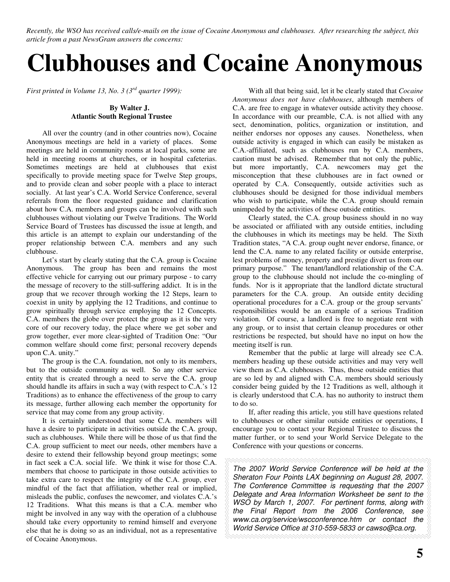Recently, the WSO has received calls/e-mails on the issue of Cocaine Anonymous and clubhouses. After researching the subject, this *article from a past NewsGram answers the concerns:*

# **Clubhouses and Cocaine Anonymous**

*First printed in Volume 13, No. 3 (3 rd quarter 1999):*

#### **By Walter J. Atlantic South Regional Trustee**

All over the country (and in other countries now), Cocaine Anonymous meetings are held in a variety of places. Some meetings are held in community rooms at local parks, some are held in meeting rooms at churches, or in hospital cafeterias. Sometimes meetings are held at clubhouses that exist specifically to provide meeting space for Twelve Step groups, and to provide clean and sober people with a place to interact socially. At last year's C.A. World Service Conference, several referrals from the floor requested guidance and clarification about how C.A. members and groups can be involved with such clubhouses without violating our Twelve Traditions. The World Service Board of Trustees has discussed the issue at length, and this article is an attempt to explain our understanding of the proper relationship between C.A. members and any such clubhouse.

Let's start by clearly stating that the C.A. group is Cocaine Anonymous. The group has been and remains the most effective vehicle for carrying out our primary purpose - to carry the message of recovery to the still-suffering addict. It is in the group that we recover through working the 12 Steps, learn to coexist in unity by applying the 12 Traditions, and continue to grow spiritually through service employing the 12 Concepts. C.A. members the globe over protect the group as it is the very core of our recovery today, the place where we get sober and grow together, ever more clear-sighted of Tradition One: "Our common welfare should come first; personal recovery depends upon C.A. unity."

The group is the C.A. foundation, not only to its members, but to the outside community as well. So any other service entity that is created through a need to serve the C.A. group should handle its affairs in such a way (with respect to C.A.'s 12 Traditions) as to enhance the effectiveness of the group to carry its message, further allowing each member the opportunity for service that may come from any group activity.

It is certainly understood that some C.A. members will have a desire to participate in activities outside the C.A. group, such as clubhouses. While there will be those of us that find the C.A. group sufficient to meet our needs, other members have a desire to extend their fellowship beyond group meetings; some in fact seek a C.A. social life. We think it wise for those C.A. members that choose to participate in those outside activities to take extra care to respect the integrity of the C.A. group, ever mindful of the fact that affiliation, whether real or implied, misleads the public, confuses the newcomer, and violates C.A.'s 12 Traditions. What this means is that a C.A. member who might be involved in any way with the operation of a clubhouse should take every opportunity to remind himself and everyone else that he is doing so as an individual, not as a representative of Cocaine Anonymous.

With all that being said, let it be clearly stated that *Cocaine Anonymous does not have clubhouses*, although members of C.A. are free to engage in whatever outside activity they choose. In accordance with our preamble, C.A. is not allied with any sect, denomination, politics, organization or institution, and neither endorses nor opposes any causes. Nonetheless, when outside activity is engaged in which can easily be mistaken as C.A.-affiliated, such as clubhouses run by C.A. members, caution must be advised. Remember that not only the public, but more importantly, C.A. newcomers may get the misconception that these clubhouses are in fact owned or operated by C.A. Consequently, outside activities such as clubhouses should be designed for those individual members who wish to participate, while the C.A. group should remain unimpeded by the activities of these outside entities.

Clearly stated, the C.A. group business should in no way be associated or affiliated with any outside entities, including the clubhouses in which its meetings may be held. The Sixth Tradition states, "A C.A. group ought never endorse, finance, or lend the C.A. name to any related facility or outside enterprise, lest problems of money, property and prestige divert us from our primary purpose." The tenant/landlord relationship of the C.A. group to the clubhouse should not include the co-mingling of funds. Nor is it appropriate that the landlord dictate structural parameters for the C.A. group. An outside entity deciding operational procedures for a C.A. group or the group servants' responsibilities would be an example of a serious Tradition violation. Of course, a landlord is free to negotiate rent with any group, or to insist that certain cleanup procedures or other restrictions be respected, but should have no input on how the meeting itself is run.

Remember that the public at large will already see C.A. members heading up these outside activities and may very well view them as C.A. clubhouses. Thus, those outside entities that are so led by and aligned with C.A. members should seriously consider being guided by the 12 Traditions as well, although it is clearly understood that C.A. has no authority to instruct them to do so.

If, after reading this article, you still have questions related to clubhouses or other similar outside entities or operations, I encourage you to contact your Regional Trustee to discuss the matter further, or to send your World Service Delegate to the Conference with your questions or concerns.

*The 2007 World Service Conference will be held at the Sheraton Four Points LAX beginning on August 28, 2007. The Conference Committee is requesting that the 2007 Delegate and Area Information Worksheet be sent to the WSO by March 1, 2007. For pertinent forms, along with the Final Report from the 2006 Conference, see www.ca.org/service/wscconference.htm or contact the World Service Office at 310-559-5833 or cawso@ca.org.*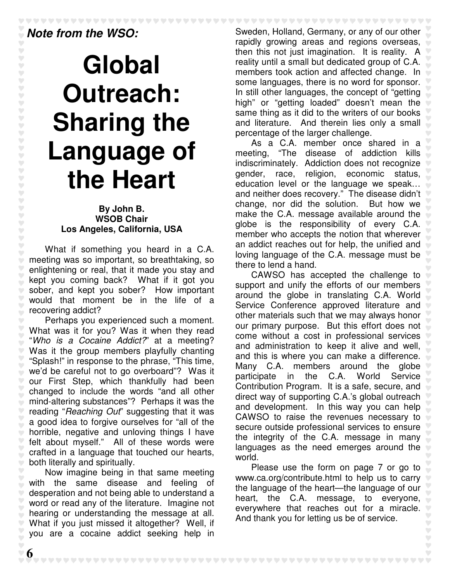# *Note from the WSO:*

# **Global Outreach: Sharing the Language of the Heart**

### **By John B. WSOB Chair Los Angeles, California, USA**

What if something you heard in a C.A. meeting was so important, so breathtaking, so enlightening or real, that it made you stay and kept you coming back? What if it got you sober, and kept you sober? How important would that moment be in the life of a recovering addict?

Perhaps you experienced such a moment. What was it for you? Was it when they read "*Who is a Cocaine Addict?*" at a meeting? Was it the group members playfully chanting "Splash!" in response to the phrase, "This time, we'd be careful not to go overboard"? Was it our First Step, which thankfully had been changed to include the words "and all other mind-altering substances"? Perhaps it was the reading "*Reaching Out*" suggesting that it was a good idea to forgive ourselves for "all of the horrible, negative and unloving things I have felt about myself." All of these words were crafted in a language that touched our hearts, both literally and spiritually.

Now imagine being in that same meeting with the same disease and feeling of desperation and not being able to understand a word or read any of the literature. Imagine not hearing or understanding the message at all. What if you just missed it altogether? Well, if you are a cocaine addict seeking help in

Sweden, Holland, Germany, or any of our other rapidly growing areas and regions overseas, then this not just imagination. It is reality. A reality until a small but dedicated group of C.A. members took action and affected change. In some languages, there is no word for sponsor. In still other languages, the concept of "getting high" or "getting loaded" doesn't mean the same thing as it did to the writers of our books and literature. And therein lies only a small percentage of the larger challenge.

\*\*\*\*\*\*\*\*\*\*\*\*\*\*\*\*\*\*\*\*\*\*\*

As a C.A. member once shared in a meeting, "The disease of addiction kills indiscriminately. Addiction does not recognize gender, race, religion, economic status, education level or the language we speak… and neither does recovery." The disease didn't change, nor did the solution. But how we make the C.A. message available around the globe is the responsibility of every C.A. member who accepts the notion that wherever an addict reaches out for help, the unified and loving language of the C.A. message must be there to lend a hand.

CAWSO has accepted the challenge to support and unify the efforts of our members around the globe in translating C.A. World Service Conference approved literature and other materials such that we may always honor our primary purpose. But this effort does not come without a cost in professional services and administration to keep it alive and well, and this is where you can make a difference. Many C.A. members around the globe participate in the C.A. World Service Contribution Program. It is a safe, secure, and direct way of supporting C.A.'s global outreach and development. In this way you can help CAWSO to raise the revenues necessary to secure outside professional services to ensure the integrity of the C.A. message in many languages as the need emerges around the Ç. world.

Please use the form on page 7 or go to www.ca.org/contribute.html to help us to carry Ŷ. the language of the heart—the language of our heart, the C.A. message, to everyone, everywhere that reaches out for a miracle. And thank you for letting us be of service.

\*\*\*\*\*\*\*\*\*\*\*\*\*\*\*\*\*\*\*\*\*\*\*\*\*\*\*\*\*\*\*\*\*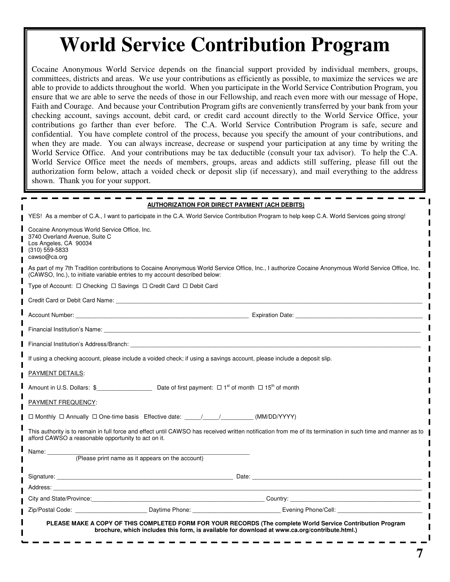# **World Service Contribution Program**

Cocaine Anonymous World Service depends on the financial support provided by individual members, groups, committees, districts and areas. We use your contributions as efficiently as possible, to maximize the services we are able to provide to addicts throughout the world. When you participate in the World Service Contribution Program, you ensure that we are able to serve the needs of those in our Fellowship, and reach even more with our message of Hope, Faith and Courage. And because your Contribution Program gifts are conveniently transferred by your bank from your checking account, savings account, debit card, or credit card account directly to the World Service Office, your contributions go farther than ever before. The C.A. World Service Contribution Program is safe, secure and confidential. You have complete control of the process, because you specify the amount of your contributions, and when they are made. You can always increase, decrease or suspend your participation at any time by writing the World Service Office. And your contributions may be tax deductible (consult your tax advisor). To help the C.A. World Service Office meet the needs of members, groups, areas and addicts still suffering, please fill out the authorization form below, attach a voided check or deposit slip (if necessary), and mail everything to the address shown. Thank you for your support.

| AUTHORIZATION FOR DIRECT PAYMENT (ACH DEBITS)                                                                                                                                                                                     |
|-----------------------------------------------------------------------------------------------------------------------------------------------------------------------------------------------------------------------------------|
| YES! As a member of C.A., I want to participate in the C.A. World Service Contribution Program to help keep C.A. World Services going strong!                                                                                     |
| Cocaine Anonymous World Service Office, Inc.<br>3740 Overland Avenue, Suite C<br>Los Angeles, CA 90034<br>(310) 559-5833<br>cawso@ca.org                                                                                          |
| As part of my 7th Tradition contributions to Cocaine Anonymous World Service Office, Inc., I authorize Cocaine Anonymous World Service Office, Inc.<br>(CAWSO, Inc.), to initiate variable entries to my account described below: |
|                                                                                                                                                                                                                                   |
|                                                                                                                                                                                                                                   |
|                                                                                                                                                                                                                                   |
|                                                                                                                                                                                                                                   |
| Financial Institution's Address/Branch: National Communication of the Communication of the Communication of the Communication of the Communication of the Communication of the Communication of the Communication of the Commu    |
| If using a checking account, please include a voided check; if using a savings account, please include a deposit slip.                                                                                                            |
| PAYMENT DETAILS:                                                                                                                                                                                                                  |
| Amount in U.S. Dollars: $\oint$ Date of first payment: $\Box$ 1 <sup>st</sup> of month $\Box$ 15 <sup>th</sup> of month                                                                                                           |
| PAYMENT FREQUENCY:                                                                                                                                                                                                                |
| □ Monthly □ Annually □ One-time basis Effective date: _____/_____/__________(MM/DD/YYYY)                                                                                                                                          |
| This authority is to remain in full force and effect until CAWSO has received written notification from me of its termination in such time and manner as to<br>afford CAWSO a reasonable opportunity to act on it.                |
| Name: _________                                                                                                                                                                                                                   |
| (Please print name as it appears on the account)                                                                                                                                                                                  |
|                                                                                                                                                                                                                                   |
|                                                                                                                                                                                                                                   |
|                                                                                                                                                                                                                                   |
| Zip/Postal Code: Contract Daytime Phone: Capture Code: Contract Daytime Phone: Code: Code: Code: Code: Code: C                                                                                                                    |
| PLEASE MAKE A COPY OF THIS COMPLETED FORM FOR YOUR RECORDS (The complete World Service Contribution Program<br>brochure, which includes this form, is available for download at www.ca.org/contribute.html.)                      |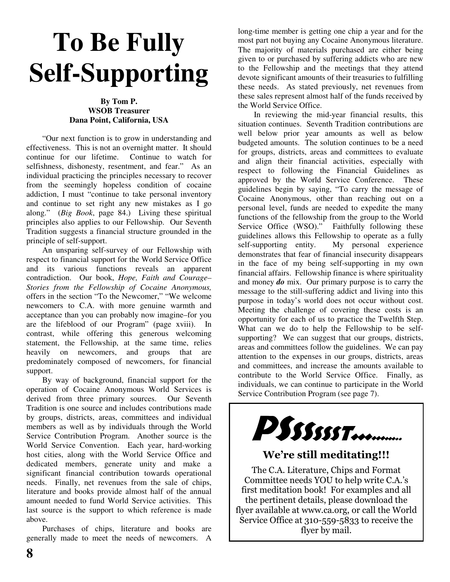# **To Be Fully Self-Supporting**

### **By Tom P. WSOB Treasurer Dana Point, California, USA**

"Our next function is to grow in understanding and effectiveness. This is not an overnight matter. It should continue for our lifetime. Continue to watch for selfishness, dishonesty, resentment, and fear." As an individual practicing the principles necessary to recover from the seemingly hopeless condition of cocaine addiction, I must "continue to take personal inventory and continue to set right any new mistakes as I go along." (*Big Book*, page 84.) Living these spiritual principles also applies to our Fellowship. Our Seventh Tradition suggests a financial structure grounded in the principle of self-support.

An unsparing self-survey of our Fellowship with respect to financial support for the World Service Office and its various functions reveals an apparent contradiction. Our book, *Hope, Faith and Courage– Stories from the Fellowship of Cocaine Anonymous,* offers in the section "To the Newcomer," "We welcome newcomers to C.A. with more genuine warmth and acceptance than you can probably now imagine–for you are the lifeblood of our Program" (page xviii). In contrast, while offering this generous welcoming statement, the Fellowship, at the same time, relies heavily on newcomers, and groups that are predominately composed of newcomers, for financial support.

By way of background, financial support for the operation of Cocaine Anonymous World Services is derived from three primary sources. Our Seventh Tradition is one source and includes contributions made by groups, districts, areas, committees and individual members as well as by individuals through the World Service Contribution Program. Another source is the World Service Convention. Each year, hard-working host cities, along with the World Service Office and dedicated members, generate unity and make a significant financial contribution towards operational needs. Finally, net revenues from the sale of chips, literature and books provide almost half of the annual amount needed to fund World Service activities. This last source is the support to which reference is made above.

Purchases of chips, literature and books are generally made to meet the needs of newcomers. A

long-time member is getting one chip a year and for the most part not buying any Cocaine Anonymous literature. The majority of materials purchased are either being given to or purchased by suffering addicts who are new to the Fellowship and the meetings that they attend devote significant amounts of their treasuries to fulfilling these needs. As stated previously, net revenues from these sales represent almost half of the funds received by the World Service Office.

In reviewing the mid-year financial results, this situation continues. Seventh Tradition contributions are well below prior year amounts as well as below budgeted amounts. The solution continues to be a need for groups, districts, areas and committees to evaluate and align their financial activities, especially with respect to following the Financial Guidelines as approved by the World Service Conference. These guidelines begin by saying, "To carry the message of Cocaine Anonymous, other than reaching out on a personal level, funds are needed to expedite the many functions of the fellowship from the group to the World Service Office (WSO)." Faithfully following these guidelines allows this Fellowship to operate as a fully self-supporting entity. My personal experience demonstrates that fear of financial insecurity disappears in the face of my being self-supporting in my own financial affairs. Fellowship finance is where spirituality and money *do* mix. Our primary purpose is to carry the message to the still-suffering addict and living into this purpose in today's world does not occur without cost. Meeting the challenge of covering these costs is an opportunity for each of us to practice the Twelfth Step. What can we do to help the Fellowship to be selfsupporting? We can suggest that our groups, districts, areas and committees follow the guidelines. We can pay attention to the expenses in our groups, districts, areas and committees, and increase the amounts available to contribute to the World Service Office. Finally, as individuals, we can continue to participate in the World Service Contribution Program (see page 7).



### We're still meditating!!!

The C.A. Literature, Chips and Format Committee needs YOU to help write C.A.'s first meditation book! For examples and all the pertinent details, please download the flyer available at www.ca.org, or call the World Service Office at 310-559-5833 to receive the flyer by mail.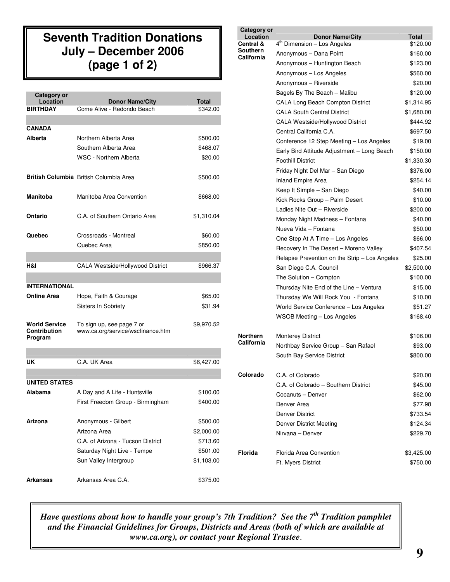### **Seventh Tradition Donations July – December 2006 (page 1 of 2)**

| <b>Category or</b>                                     |                                                                |              |
|--------------------------------------------------------|----------------------------------------------------------------|--------------|
| Location                                               | <b>Donor Name/City</b>                                         | <b>Total</b> |
| <b>BIRTHDAY</b>                                        | Come Alive - Redondo Beach                                     | \$342.00     |
|                                                        |                                                                |              |
| CANADA                                                 |                                                                |              |
| Alberta                                                | Northern Alberta Area                                          | \$500.00     |
|                                                        | Southern Alberta Area                                          | \$468.07     |
|                                                        | WSC - Northern Alberta                                         | \$20.00      |
|                                                        | <b>British Columbia</b> British Columbia Area                  | \$500.00     |
| Manitoba                                               | Manitoba Area Convention                                       | \$668.00     |
| Ontario                                                | C.A. of Southern Ontario Area                                  | \$1,310.04   |
| Quebec                                                 | Crossroads - Montreal                                          | \$60.00      |
|                                                        | Quebec Area                                                    | \$850.00     |
|                                                        |                                                                |              |
| H&I                                                    | CALA Westside/Hollywood District                               | \$966.37     |
|                                                        |                                                                |              |
| <b>INTERNATIONAL</b>                                   |                                                                |              |
| Online Area                                            | Hope, Faith & Courage                                          | \$65.00      |
|                                                        | Sisters In Sobriety                                            | \$31.94      |
|                                                        |                                                                |              |
| <b>World Service</b><br><b>Contribution</b><br>Program | To sign up, see page 7 or<br>www.ca.org/service/wscfinance.htm | \$9,970.52   |
|                                                        |                                                                |              |
| UK                                                     | C.A. UK Area                                                   | \$6,427.00   |
|                                                        |                                                                |              |
| <b>UNITED STATES</b>                                   |                                                                |              |
| Alabama                                                | A Day and A Life - Huntsville                                  | \$100.00     |
|                                                        | First Freedom Group - Birmingham                               | \$400.00     |
| Arizona                                                | Anonymous - Gilbert                                            | \$500.00     |
|                                                        | Arizona Area                                                   | \$2,000.00   |
|                                                        | C.A. of Arizona - Tucson District                              | \$713.60     |
|                                                        | Saturday Night Live - Tempe                                    | \$501.00     |
|                                                        | Sun Valley Intergroup                                          | \$1,103.00   |
| <b>Arkansas</b>                                        | Arkansas Area C.A.                                             | \$375.00     |

| Category or           |                                                                   |                          |
|-----------------------|-------------------------------------------------------------------|--------------------------|
| Location<br>Central & | <b>Donor Name/City</b><br>4 <sup>th</sup> Dimension - Los Angeles | <b>Total</b><br>\$120.00 |
| Southern              | Anonymous - Dana Point                                            | \$160.00                 |
| California            | Anonymous - Huntington Beach                                      | \$123.00                 |
|                       | Anonymous - Los Angeles                                           | \$560.00                 |
|                       | Anonymous - Riverside                                             | \$20.00                  |
|                       | Bagels By The Beach - Malibu                                      | \$120.00                 |
|                       | CALA Long Beach Compton District                                  | \$1,314.95               |
|                       | <b>CALA South Central District</b>                                | \$1,680.00               |
|                       | <b>CALA Westside/Hollywood District</b>                           | \$444.92                 |
|                       | Central California C.A.                                           | \$697.50                 |
|                       | Conference 12 Step Meeting - Los Angeles                          | \$19.00                  |
|                       | Early Bird Attitude Adjustment - Long Beach                       | \$150.00                 |
|                       | <b>Foothill District</b>                                          | \$1,330.30               |
|                       | Friday Night Del Mar - San Diego                                  | \$376.00                 |
|                       | <b>Inland Empire Area</b>                                         | \$254.14                 |
|                       | Keep It Simple - San Diego                                        | \$40.00                  |
|                       | Kick Rocks Group - Palm Desert                                    | \$10.00                  |
|                       | Ladies Nite Out - Riverside                                       | \$200.00                 |
|                       | Monday Night Madness - Fontana                                    | \$40.00                  |
|                       | Nueva Vida - Fontana                                              | \$50.00                  |
|                       | One Step At A Time - Los Angeles                                  | \$66.00                  |
|                       | Recovery In The Desert - Moreno Valley                            | \$407.54                 |
|                       | Relapse Prevention on the Strip - Los Angeles                     | \$25.00                  |
|                       | San Diego C.A. Council                                            | \$2,500.00               |
|                       | The Solution - Compton                                            | \$100.00                 |
|                       | Thursday Nite End of the Line - Ventura                           | \$15.00                  |
|                       | Thursday We Will Rock You - Fontana                               | \$10.00                  |
|                       | World Service Conference - Los Angeles                            | \$51.27                  |
|                       | <b>WSOB Meeting - Los Angeles</b>                                 | \$168.40                 |
| <b>Northern</b>       | <b>Monterey District</b>                                          | \$106.00                 |
| California            | Northbay Service Group - San Rafael                               | \$93.00                  |
|                       | South Bay Service District                                        | \$800.00                 |
| Colorado              | C.A. of Colorado                                                  | \$20.00                  |
|                       | C.A. of Colorado - Southern District                              | \$45.00                  |
|                       | Cocanuts - Denver                                                 | \$62.00                  |
|                       | Denver Area                                                       | \$77.98                  |
|                       | Denver District                                                   | \$733.54                 |
|                       | Denver District Meeting                                           | \$124.34                 |
|                       | Nirvana - Denver                                                  | \$229.70                 |
| Florida               | Florida Area Convention                                           | \$3,425.00               |
|                       | Ft. Myers District                                                | \$750.00                 |

*Have questions about how to handle your group's 7th Tradition? See the 7 th Tradition pamphlet and the Financial Guidelines for Groups, Districts and Areas (both of which are available at www.ca.org), or contact your Regional Trustee*.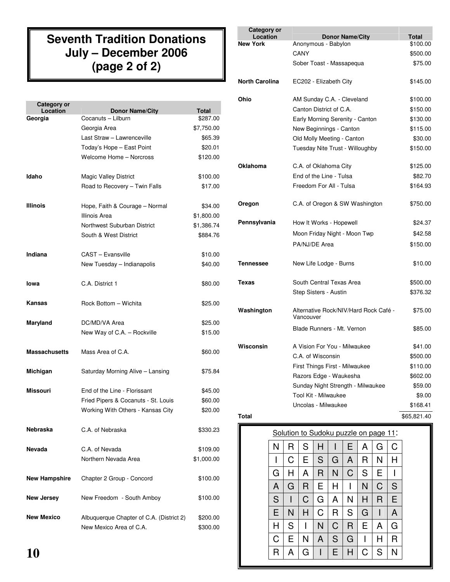### **Seventh Tradition Donations July – December 2006 (page 2 of 2)**

| Category or<br>Location | <b>Donor Name/City</b>                   | <b>Total</b> |
|-------------------------|------------------------------------------|--------------|
| Georgia                 | Cocanuts - Lilburn                       | \$287.00     |
|                         | Georgia Area                             | \$7,750.00   |
|                         | Last Straw - Lawrenceville               | \$65.39      |
|                         | Today's Hope - East Point                | \$20.01      |
|                         | Welcome Home - Norcross                  | \$120.00     |
| Idaho                   | <b>Magic Valley District</b>             | \$100.00     |
|                         | Road to Recovery - Twin Falls            | \$17.00      |
| <b>Illinois</b>         | Hope, Faith & Courage - Normal           | \$34.00      |
|                         | Illinois Area                            | \$1,800.00   |
|                         | Northwest Suburban District              | \$1,386.74   |
|                         | South & West District                    | \$884.76     |
| Indiana                 | CAST - Evansville                        | \$10.00      |
|                         | New Tuesday - Indianapolis               | \$40.00      |
| lowa                    | C.A. District 1                          | \$80.00      |
| Kansas                  | Rock Bottom - Wichita                    | \$25.00      |
| Maryland                | DC/MD/VA Area                            | \$25.00      |
|                         | New Way of C.A. - Rockville              | \$15.00      |
| <b>Massachusetts</b>    | Mass Area of C.A.                        | \$60.00      |
| Michigan                | Saturday Morning Alive - Lansing         | \$75.84      |
| Missouri                | End of the Line - Florissant             | \$45.00      |
|                         | Fried Pipers & Cocanuts - St. Louis      | \$60.00      |
|                         | Working With Others - Kansas City        | \$20.00      |
| Nebraska                | C.A. of Nebraska                         | \$330.23     |
| Nevada                  | C.A. of Nevada                           | \$109.00     |
|                         | Northern Nevada Area                     | \$1,000.00   |
| <b>New Hampshire</b>    | Chapter 2 Group - Concord                | \$100.00     |
| <b>New Jersey</b>       | New Freedom - South Amboy                | \$100.00     |
| <b>New Mexico</b>       | Albuquerque Chapter of C.A. (District 2) | \$200.00     |
|                         | New Mexico Area of C.A.                  | \$300.00     |

| <b>Category or</b><br>Location | <b>Donor Name/City</b>                             | Total       |
|--------------------------------|----------------------------------------------------|-------------|
| <b>New York</b>                | Anonymous - Babylon                                | \$100.00    |
|                                | CANY                                               | \$500.00    |
|                                | Sober Toast - Massapequa                           | \$75.00     |
| <b>North Carolina</b>          | EC202 - Elizabeth City                             | \$145.00    |
| Ohio                           | AM Sunday C.A. - Cleveland                         | \$100.00    |
|                                | Canton District of C.A.                            | \$150.00    |
|                                | Early Morning Serenity - Canton                    | \$130.00    |
|                                | New Beginnings - Canton                            | \$115.00    |
|                                | Old Molly Meeting - Canton                         | \$30.00     |
|                                | Tuesday Nite Trust - Willoughby                    | \$150.00    |
| Oklahoma                       | C.A. of Oklahoma City                              | \$125.00    |
|                                | End of the Line - Tulsa                            | \$82.70     |
|                                | Freedom For All - Tulsa                            | \$164.93    |
| Oregon                         | C.A. of Oregon & SW Washington                     | \$750.00    |
| Pennsylvania                   | How It Works - Hopewell                            | \$24.37     |
|                                | Moon Friday Night - Moon Twp                       | \$42.58     |
|                                | PA/NJ/DE Area                                      | \$150.00    |
| Tennessee                      | New Life Lodge - Burns                             | \$10.00     |
| Texas                          | South Central Texas Area                           | \$500.00    |
|                                | Step Sisters - Austin                              | \$376.32    |
| Washington                     | Alternative Rock/NIV/Hard Rock Café -<br>Vancouver | \$75.00     |
|                                | Blade Runners - Mt. Vernon                         | \$85.00     |
| Wisconsin                      | A Vision For You - Milwaukee                       | \$41.00     |
|                                | C.A. of Wisconsin                                  | \$500.00    |
|                                | First Things First - Milwaukee                     | \$110.00    |
|                                | Razors Edge - Waukesha                             | \$602.00    |
|                                | Sunday Night Strength - Milwaukee                  | \$59.00     |
|                                | Tool Kit - Milwaukee                               | \$9.00      |
|                                | Uncolas - Milwaukee                                | \$168.41    |
| <b>Total</b>                   |                                                    | \$65,821.40 |

### Solution to Sudoku puzzle on page 11: N | R | S | H | I | E | A | G | C I | C | E | S | G | A | R | N | H G | H | A | R | N | C | S | E | I A | G | R | E | H | I | N | C | S S | I | C | G | A | N | H | R | E E | N | H | C | R | S | G | I | A H S I N C R E A G C | E | N | A | S | G | I | H | R R | A | G | I | E | H | C | S | N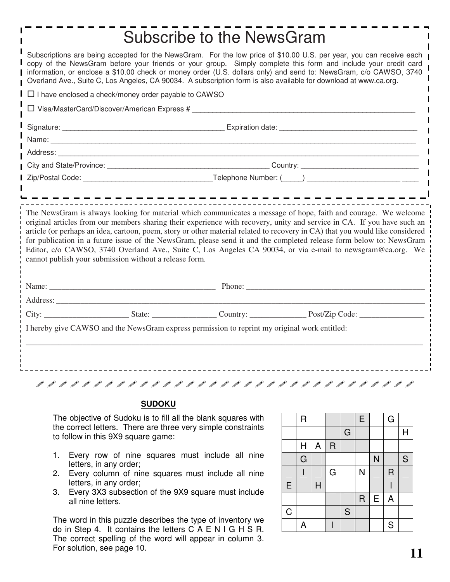|                                                                                                                                                                                                                                                                                                                                                                                                                                                                                | Subscribe to the NewsGram |  |                                                                                                                                                                                                                                                                                                                                                                    |  |  |
|--------------------------------------------------------------------------------------------------------------------------------------------------------------------------------------------------------------------------------------------------------------------------------------------------------------------------------------------------------------------------------------------------------------------------------------------------------------------------------|---------------------------|--|--------------------------------------------------------------------------------------------------------------------------------------------------------------------------------------------------------------------------------------------------------------------------------------------------------------------------------------------------------------------|--|--|
| Subscriptions are being accepted for the NewsGram. For the low price of \$10.00 U.S. per year, you can receive each<br>copy of the NewsGram before your friends or your group. Simply complete this form and include your credit card<br>information, or enclose a \$10.00 check or money order (U.S. dollars only) and send to: NewsGram, c/o CAWSO, 3740<br>Overland Ave., Suite C, Los Angeles, CA 90034. A subscription form is also available for download at www.ca.org. |                           |  |                                                                                                                                                                                                                                                                                                                                                                    |  |  |
| $\Box$ I have enclosed a check/money order payable to CAWSO                                                                                                                                                                                                                                                                                                                                                                                                                    |                           |  |                                                                                                                                                                                                                                                                                                                                                                    |  |  |
| □ Visa/MasterCard/Discover/American Express #                                                                                                                                                                                                                                                                                                                                                                                                                                  |                           |  |                                                                                                                                                                                                                                                                                                                                                                    |  |  |
|                                                                                                                                                                                                                                                                                                                                                                                                                                                                                |                           |  |                                                                                                                                                                                                                                                                                                                                                                    |  |  |
|                                                                                                                                                                                                                                                                                                                                                                                                                                                                                |                           |  |                                                                                                                                                                                                                                                                                                                                                                    |  |  |
|                                                                                                                                                                                                                                                                                                                                                                                                                                                                                |                           |  |                                                                                                                                                                                                                                                                                                                                                                    |  |  |
|                                                                                                                                                                                                                                                                                                                                                                                                                                                                                |                           |  |                                                                                                                                                                                                                                                                                                                                                                    |  |  |
| cannot publish your submission without a release form.                                                                                                                                                                                                                                                                                                                                                                                                                         |                           |  | article (or perhaps an idea, cartoon, poem, story or other material related to recovery in CA) that you would like considered<br>for publication in a future issue of the NewsGram, please send it and the completed release form below to: NewsGram<br>Editor, c/o CAWSO, 3740 Overland Ave., Suite C, Los Angeles CA 90034, or via e-mail to newsgram@ca.org. We |  |  |
|                                                                                                                                                                                                                                                                                                                                                                                                                                                                                |                           |  |                                                                                                                                                                                                                                                                                                                                                                    |  |  |
|                                                                                                                                                                                                                                                                                                                                                                                                                                                                                |                           |  |                                                                                                                                                                                                                                                                                                                                                                    |  |  |
|                                                                                                                                                                                                                                                                                                                                                                                                                                                                                |                           |  |                                                                                                                                                                                                                                                                                                                                                                    |  |  |
| I hereby give CAWSO and the NewsGram express permission to reprint my original work entitled:                                                                                                                                                                                                                                                                                                                                                                                  |                           |  |                                                                                                                                                                                                                                                                                                                                                                    |  |  |
|                                                                                                                                                                                                                                                                                                                                                                                                                                                                                |                           |  |                                                                                                                                                                                                                                                                                                                                                                    |  |  |
|                                                                                                                                                                                                                                                                                                                                                                                                                                                                                |                           |  |                                                                                                                                                                                                                                                                                                                                                                    |  |  |

### **SUDOKU**

The objective of Sudoku is to fill all the blank squares with the correct letters. There are three very simple constraints to follow in this 9X9 square game:

- 1. Every row of nine squares must include all nine letters, in any order;
- 2. Every column of nine squares must include all nine letters, in any order;
- 3. Every 3X3 subsection of the 9X9 square must include all nine letters.

The word in this puzzle describes the type of inventory we do in Step 4. It contains the letters C A E N I G H S R. The correct spelling of the word will appear in column 3. For solution, see page 10.

|             | $\overline{\mathsf{R}}$ |                           |             |             | E              |   | G              |              |
|-------------|-------------------------|---------------------------|-------------|-------------|----------------|---|----------------|--------------|
|             |                         |                           |             | $\mathsf G$ |                |   |                | $\mathsf{H}$ |
|             | H                       | $\boldsymbol{\mathsf{A}}$ | $\mathsf R$ |             |                |   |                |              |
|             | $\overline{G}$          |                           |             |             |                | N |                | S            |
|             |                         |                           | G           |             | N              |   | $\overline{R}$ |              |
| E           |                         | $\overline{H}$            |             |             |                |   |                |              |
|             |                         |                           |             |             | $\overline{R}$ | E | $\mathsf{A}$   |              |
| $\mathsf C$ |                         |                           |             | $\mathsf S$ |                |   |                |              |
|             | A                       |                           |             |             |                |   | ${\mathsf S}$  |              |